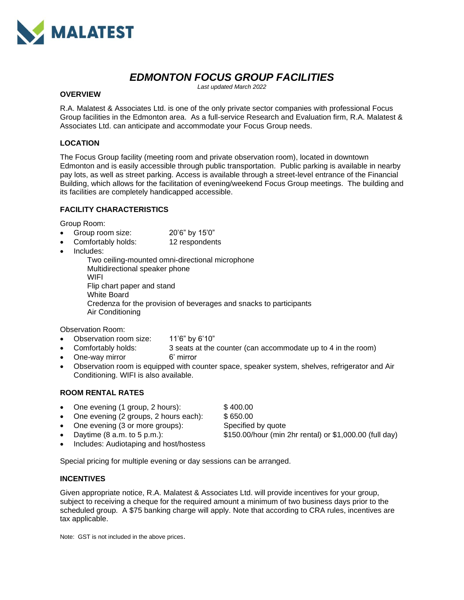

# *EDMONTON FOCUS GROUP FACILITIES*

*Last updated March 2022*

#### **OVERVIEW**

R.A. Malatest & Associates Ltd. is one of the only private sector companies with professional Focus Group facilities in the Edmonton area. As a full-service Research and Evaluation firm, R.A. Malatest & Associates Ltd. can anticipate and accommodate your Focus Group needs.

#### **LOCATION**

The Focus Group facility (meeting room and private observation room), located in downtown Edmonton and is easily accessible through public transportation. Public parking is available in nearby pay lots, as well as street parking. Access is available through a street-level entrance of the Financial Building, which allows for the facilitation of evening/weekend Focus Group meetings. The building and its facilities are completely handicapped accessible.

#### **FACILITY CHARACTERISTICS**

Group Room:

- Group room size: 20'6" by 15'0"
- Comfortably holds: 12 respondents
- Includes:

Two ceiling-mounted omni-directional microphone Multidirectional speaker phone **WIFI** Flip chart paper and stand White Board Credenza for the provision of beverages and snacks to participants Air Conditioning

Observation Room:

- Observation room size: 11'6" by 6'10"
- Comfortably holds: 3 seats at the counter (can accommodate up to 4 in the room)
- One-way mirror 6' mirror
- Observation room is equipped with counter space, speaker system, shelves, refrigerator and Air Conditioning. WIFI is also available.

#### **ROOM RENTAL RATES**

- One evening (1 group, 2 hours): \$400.00
- One evening (2 groups, 2 hours each): \$650.00
- One evening (3 or more groups): Specified by quote
- 

• Daytime (8 a.m. to 5 p.m.): \$150.00/hour (min 2hr rental) or \$1,000.00 (full day)

• Includes: Audiotaping and host/hostess

Special pricing for multiple evening or day sessions can be arranged.

#### **INCENTIVES**

Given appropriate notice, R.A. Malatest & Associates Ltd. will provide incentives for your group, subject to receiving a cheque for the required amount a minimum of two business days prior to the scheduled group. A \$75 banking charge will apply. Note that according to CRA rules, incentives are tax applicable.

Note: GST is not included in the above prices.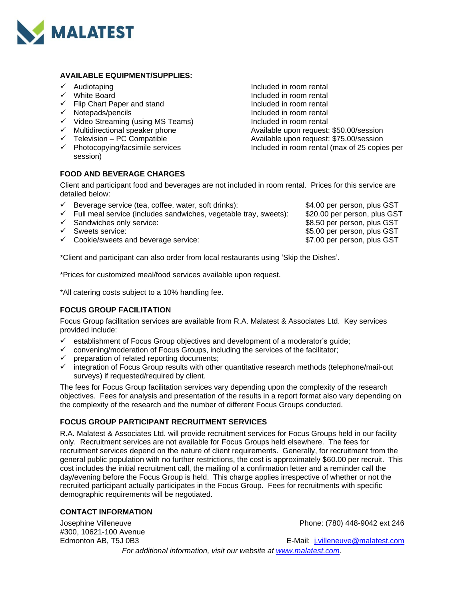

#### **AVAILABLE EQUIPMENT/SUPPLIES:**

- 
- 
- ✓ Flip Chart Paper and stand Included in room rental
- 
- 
- 
- 
- session)

# **FOOD AND BEVERAGE CHARGES**

✓ Audiotaping Included in room rental Included in room rental ✓ Notepads/pencils Included in room rental ✓ Video Streaming (using MS Teams) Included in room rental ✓ Multidirectional speaker phone Available upon request: \$50.00/session ✓ Television – PC Compatible Available upon request: \$75.00/session Included in room rental (max of 25 copies per

Client and participant food and beverages are not included in room rental. Prices for this service are detailed below:

| $\checkmark$ | Beverage service (tea, coffee, water, soft drinks):                           | \$4.00 per person, plus GST  |
|--------------|-------------------------------------------------------------------------------|------------------------------|
|              | $\checkmark$ Full meal service (includes sandwiches, vegetable tray, sweets): | \$20.00 per person, plus GST |
|              | $\checkmark$ Sandwiches only service:                                         | \$8.50 per person, plus GST  |
|              | $\checkmark$ Sweets service:                                                  | \$5.00 per person, plus GST  |
|              | $\checkmark$ Cookie/sweets and beverage service:                              | \$7.00 per person, plus GST  |
|              |                                                                               |                              |

\*Client and participant can also order from local restaurants using 'Skip the Dishes'.

\*Prices for customized meal/food services available upon request.

\*All catering costs subject to a 10% handling fee.

#### **FOCUS GROUP FACILITATION**

Focus Group facilitation services are available from R.A. Malatest & Associates Ltd. Key services provided include:

- $\checkmark$  establishment of Focus Group objectives and development of a moderator's guide;
- $\checkmark$  convening/moderation of Focus Groups, including the services of the facilitator;
- ✓ preparation of related reporting documents;
- integration of Focus Group results with other quantitative research methods (telephone/mail-out surveys) if requested/required by client.

The fees for Focus Group facilitation services vary depending upon the complexity of the research objectives. Fees for analysis and presentation of the results in a report format also vary depending on the complexity of the research and the number of different Focus Groups conducted.

#### **FOCUS GROUP PARTICIPANT RECRUITMENT SERVICES**

R.A. Malatest & Associates Ltd. will provide recruitment services for Focus Groups held in our facility only. Recruitment services are not available for Focus Groups held elsewhere. The fees for recruitment services depend on the nature of client requirements. Generally, for recruitment from the general public population with no further restrictions, the cost is approximately \$60.00 per recruit. This cost includes the initial recruitment call, the mailing of a confirmation letter and a reminder call the day/evening before the Focus Group is held. This charge applies irrespective of whether or not the recruited participant actually participates in the Focus Group. Fees for recruitments with specific demographic requirements will be negotiated.

#### **CONTACT INFORMATION**

#300, 10621-100 Avenue

Josephine Villeneuve Phone: (780) 448-9042 ext 246

Edmonton AB, T5J 0B3 E-Mail: [j.villeneuve@malatest.com](mailto:s.perhar@malatest.com)

*For additional information, visit our website at [www.malatest.com.](http://www.malatest.com/)*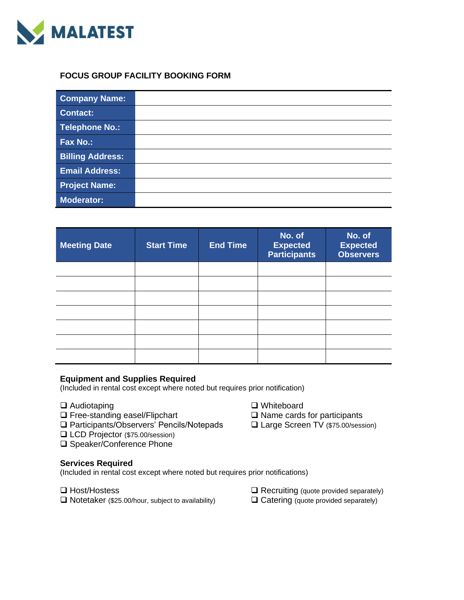

## **FOCUS GROUP FACILITY BOOKING FORM**

| <b>Company Name:</b>    |  |
|-------------------------|--|
| <b>Contact:</b>         |  |
| <b>Telephone No.:</b>   |  |
| <b>Fax No.:</b>         |  |
| <b>Billing Address:</b> |  |
| <b>Email Address:</b>   |  |
| <b>Project Name:</b>    |  |
| <b>Moderator:</b>       |  |

| <b>Meeting Date</b> | <b>Start Time</b> | <b>End Time</b> | No. of<br><b>Expected</b><br><b>Participants</b> | No. of<br><b>Expected</b><br><b>Observers</b> |
|---------------------|-------------------|-----------------|--------------------------------------------------|-----------------------------------------------|
|                     |                   |                 |                                                  |                                               |
|                     |                   |                 |                                                  |                                               |
|                     |                   |                 |                                                  |                                               |
|                     |                   |                 |                                                  |                                               |
|                     |                   |                 |                                                  |                                               |
|                     |                   |                 |                                                  |                                               |
|                     |                   |                 |                                                  |                                               |

### **Equipment and Supplies Required**

(Included in rental cost except where noted but requires prior notification)

- 
- 
- **□** Free-standing easel/Flipchart **□** Name cards for participants **□** Participants **□** Participants/Observers' Pencils/Notepads □ Large Screen TV (\$75.00/session) ❑ Participants/Observers' Pencils/Notepads ❑ Large Screen TV (\$75.00/session)
- ❑ LCD Projector (\$75.00/session)
- ❑ Speaker/Conference Phone

#### **Services Required**

(Included in rental cost except where noted but requires prior notifications)

❑ Notetaker (\$25.00/hour, subject to availability) ❑ Catering (quote provided separately)

❑ Audiotaping ❑ Whiteboard

- ❑ Host/Hostess ❑ Recruiting (quote provided separately)
	-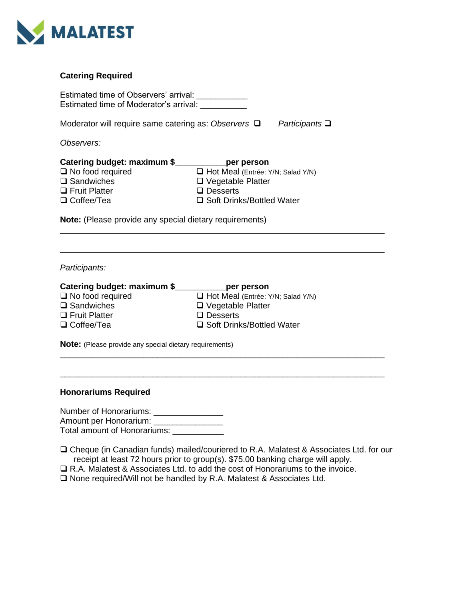

### **Catering Required**

| Estimated time of Observers' arrival:<br>Estimated time of Moderator's arrival:                                                                                                                                                                                                                                                          |                                   |  |  |  |  |  |
|------------------------------------------------------------------------------------------------------------------------------------------------------------------------------------------------------------------------------------------------------------------------------------------------------------------------------------------|-----------------------------------|--|--|--|--|--|
| Moderator will require same catering as: Observers $\Box$<br>Participants $\Box$                                                                                                                                                                                                                                                         |                                   |  |  |  |  |  |
| Observers:                                                                                                                                                                                                                                                                                                                               |                                   |  |  |  |  |  |
| Catering budget: maximum \$ ____________ per person<br>$\Box$ No food required<br>Hot Meal (Entrée: Y/N; Salad Y/N)<br>$\square$ Sandwiches<br>$\Box$ Vegetable Platter<br>$\Box$ Fruit Platter<br>$\Box$ Desserts<br>$\Box$ Coffee/Tea<br>□ Soft Drinks/Bottled Water<br><b>Note:</b> (Please provide any special dietary requirements) |                                   |  |  |  |  |  |
| Participants:                                                                                                                                                                                                                                                                                                                            |                                   |  |  |  |  |  |
| Catering budget: maximum \$_____________per person                                                                                                                                                                                                                                                                                       |                                   |  |  |  |  |  |
| $\Box$ No food required                                                                                                                                                                                                                                                                                                                  | Hot Meal (Entrée: Y/N; Salad Y/N) |  |  |  |  |  |
| $\square$ Sandwiches                                                                                                                                                                                                                                                                                                                     | $\Box$ Vegetable Platter          |  |  |  |  |  |
| $\Box$ Fruit Platter                                                                                                                                                                                                                                                                                                                     | $\Box$ Desserts                   |  |  |  |  |  |
| □ Coffee/Tea                                                                                                                                                                                                                                                                                                                             | □ Soft Drinks/Bottled Water       |  |  |  |  |  |
| <b>Note:</b> (Please provide any special dietary requirements)                                                                                                                                                                                                                                                                           |                                   |  |  |  |  |  |
|                                                                                                                                                                                                                                                                                                                                          |                                   |  |  |  |  |  |
| <b>Honorariums Required</b>                                                                                                                                                                                                                                                                                                              |                                   |  |  |  |  |  |

Number of Honorariums: \_\_\_\_\_\_\_\_\_\_\_\_\_\_\_ Amount per Honorarium: \_\_\_\_\_\_\_\_\_\_\_\_\_\_\_ Total amount of Honorariums: \_\_\_\_\_\_\_\_\_\_\_

❑ Cheque (in Canadian funds) mailed/couriered to R.A. Malatest & Associates Ltd. for our receipt at least 72 hours prior to group(s). \$75.00 banking charge will apply.

❑ R.A. Malatest & Associates Ltd. to add the cost of Honorariums to the invoice.

❑ None required/Will not be handled by R.A. Malatest & Associates Ltd.